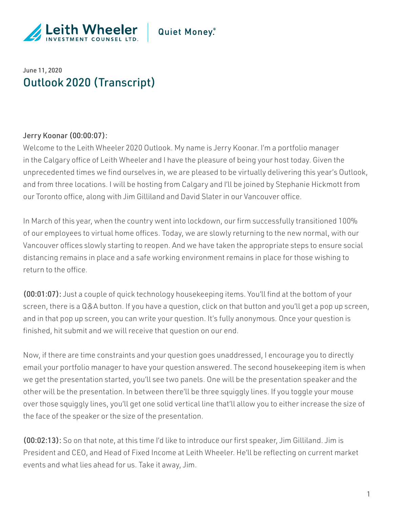

## Quiet Money.

## June 11, 2020 Outlook 2020 (Transcript)

#### Jerry Koonar (00:00:07):

Welcome to the Leith Wheeler 2020 Outlook. My name is Jerry Koonar. I'm a portfolio manager in the Calgary office of Leith Wheeler and I have the pleasure of being your host today. Given the unprecedented times we find ourselves in, we are pleased to be virtually delivering this year's Outlook, and from three locations. I will be hosting from Calgary and I'll be joined by Stephanie Hickmott from our Toronto office, along with Jim Gilliland and David Slater in our Vancouver office.

In March of this year, when the country went into lockdown, our firm successfully transitioned 100% of our employees to virtual home offices. Today, we are slowly returning to the new normal, with our Vancouver offices slowly starting to reopen. And we have taken the appropriate steps to ensure social distancing remains in place and a safe working environment remains in place for those wishing to return to the office.

(00:01:07): Just a couple of quick technology housekeeping items. You'll find at the bottom of your screen, there is a Q&A button. If you have a question, click on that button and you'll get a pop up screen, and in that pop up screen, you can write your question. It's fully anonymous. Once your question is finished, hit submit and we will receive that question on our end.

Now, if there are time constraints and your question goes unaddressed, I encourage you to directly email your portfolio manager to have your question answered. The second housekeeping item is when we get the presentation started, you'll see two panels. One will be the presentation speaker and the other will be the presentation. In between there'll be three squiggly lines. If you toggle your mouse over those squiggly lines, you'll get one solid vertical line that'll allow you to either increase the size of the face of the speaker or the size of the presentation.

(00:02:13): So on that note, at this time I'd like to introduce our first speaker, Jim Gilliland. Jim is President and CEO, and Head of Fixed Income at Leith Wheeler. He'll be reflecting on current market events and what lies ahead for us. Take it away, Jim.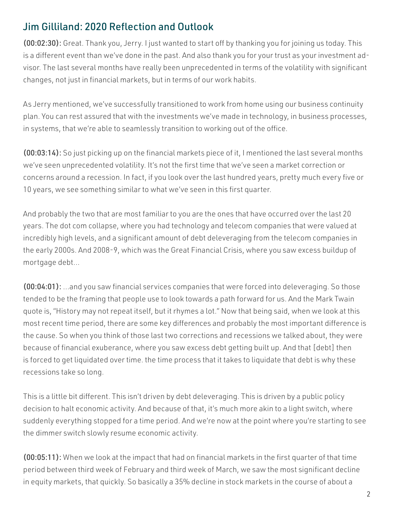# Jim Gilliland: 2020 Reflection and Outlook

(00:02:30): Great. Thank you, Jerry. I just wanted to start off by thanking you for joining us today. This is a different event than we've done in the past. And also thank you for your trust as your investment advisor. The last several months have really been unprecedented in terms of the volatility with significant changes, not just in financial markets, but in terms of our work habits.

As Jerry mentioned, we've successfully transitioned to work from home using our business continuity plan. You can rest assured that with the investments we've made in technology, in business processes, in systems, that we're able to seamlessly transition to working out of the office.

(00:03:14): So just picking up on the financial markets piece of it, I mentioned the last several months we've seen unprecedented volatility. It's not the first time that we've seen a market correction or concerns around a recession. In fact, if you look over the last hundred years, pretty much every five or 10 years, we see something similar to what we've seen in this first quarter.

And probably the two that are most familiar to you are the ones that have occurred over the last 20 years. The dot com collapse, where you had technology and telecom companies that were valued at incredibly high levels, and a significant amount of debt deleveraging from the telecom companies in the early 2000s. And 2008-9, which was the Great Financial Crisis, where you saw excess buildup of mortgage debt…

(00:04:01): ...and you saw financial services companies that were forced into deleveraging. So those tended to be the framing that people use to look towards a path forward for us. And the Mark Twain quote is, "History may not repeat itself, but it rhymes a lot." Now that being said, when we look at this most recent time period, there are some key differences and probably the most important difference is the cause. So when you think of those last two corrections and recessions we talked about, they were because of financial exuberance, where you saw excess debt getting built up. And that [debt] then is forced to get liquidated over time. the time process that it takes to liquidate that debt is why these recessions take so long.

This is a little bit different. This isn't driven by debt deleveraging. This is driven by a public policy decision to halt economic activity. And because of that, it's much more akin to a light switch, where suddenly everything stopped for a time period. And we're now at the point where you're starting to see the dimmer switch slowly resume economic activity.

(00:05:11): When we look at the impact that had on financial markets in the first quarter of that time period between third week of February and third week of March, we saw the most significant decline in equity markets, that quickly. So basically a 35% decline in stock markets in the course of about a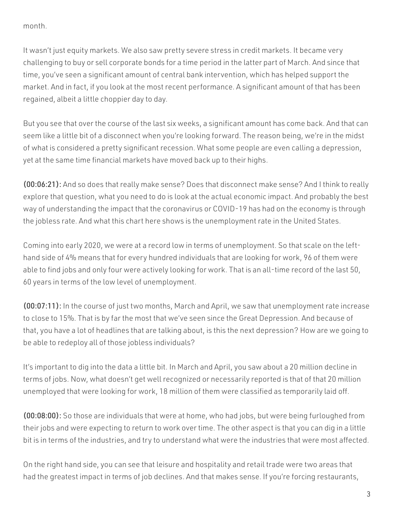month.

It wasn't just equity markets. We also saw pretty severe stress in credit markets. It became very challenging to buy or sell corporate bonds for a time period in the latter part of March. And since that time, you've seen a significant amount of central bank intervention, which has helped support the market. And in fact, if you look at the most recent performance. A significant amount of that has been regained, albeit a little choppier day to day.

But you see that over the course of the last six weeks, a significant amount has come back. And that can seem like a little bit of a disconnect when you're looking forward. The reason being, we're in the midst of what is considered a pretty significant recession. What some people are even calling a depression, yet at the same time financial markets have moved back up to their highs.

(00:06:21): And so does that really make sense? Does that disconnect make sense? And I think to really explore that question, what you need to do is look at the actual economic impact. And probably the best way of understanding the impact that the coronavirus or COVID-19 has had on the economy is through the jobless rate. And what this chart here shows is the unemployment rate in the United States.

Coming into early 2020, we were at a record low in terms of unemployment. So that scale on the lefthand side of 4% means that for every hundred individuals that are looking for work, 96 of them were able to find jobs and only four were actively looking for work. That is an all-time record of the last 50, 60 years in terms of the low level of unemployment.

(00:07:11): In the course of just two months, March and April, we saw that unemployment rate increase to close to 15%. That is by far the most that we've seen since the Great Depression. And because of that, you have a lot of headlines that are talking about, is this the next depression? How are we going to be able to redeploy all of those jobless individuals?

It's important to dig into the data a little bit. In March and April, you saw about a 20 million decline in terms of jobs. Now, what doesn't get well recognized or necessarily reported is that of that 20 million unemployed that were looking for work, 18 million of them were classified as temporarily laid off.

(00:08:00): So those are individuals that were at home, who had jobs, but were being furloughed from their jobs and were expecting to return to work over time. The other aspect is that you can dig in a little bit is in terms of the industries, and try to understand what were the industries that were most affected.

On the right hand side, you can see that leisure and hospitality and retail trade were two areas that had the greatest impact in terms of job declines. And that makes sense. If you're forcing restaurants,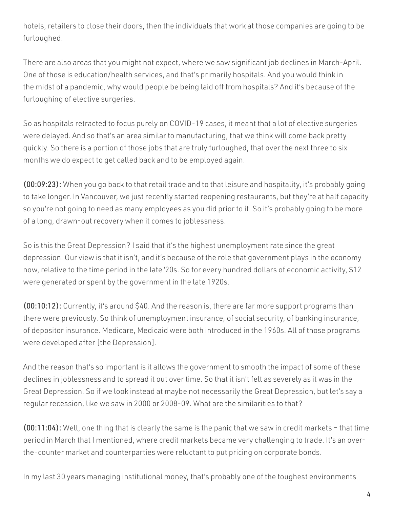hotels, retailers to close their doors, then the individuals that work at those companies are going to be furloughed.

There are also areas that you might not expect, where we saw significant job declines in March-April. One of those is education/health services, and that's primarily hospitals. And you would think in the midst of a pandemic, why would people be being laid off from hospitals? And it's because of the furloughing of elective surgeries.

So as hospitals retracted to focus purely on COVID-19 cases, it meant that a lot of elective surgeries were delayed. And so that's an area similar to manufacturing, that we think will come back pretty quickly. So there is a portion of those jobs that are truly furloughed, that over the next three to six months we do expect to get called back and to be employed again.

(00:09:23): When you go back to that retail trade and to that leisure and hospitality, it's probably going to take longer. In Vancouver, we just recently started reopening restaurants, but they're at half capacity so you're not going to need as many employees as you did prior to it. So it's probably going to be more of a long, drawn-out recovery when it comes to joblessness.

So is this the Great Depression? I said that it's the highest unemployment rate since the great depression. Our view is that it isn't, and it's because of the role that government plays in the economy now, relative to the time period in the late '20s. So for every hundred dollars of economic activity, \$12 were generated or spent by the government in the late 1920s.

(00:10:12): Currently, it's around \$40. And the reason is, there are far more support programs than there were previously. So think of unemployment insurance, of social security, of banking insurance, of depositor insurance. Medicare, Medicaid were both introduced in the 1960s. All of those programs were developed after [the Depression].

And the reason that's so important is it allows the government to smooth the impact of some of these declines in joblessness and to spread it out over time. So that it isn't felt as severely as it was in the Great Depression. So if we look instead at maybe not necessarily the Great Depression, but let's say a regular recession, like we saw in 2000 or 2008-09. What are the similarities to that?

(00:11:04): Well, one thing that is clearly the same is the panic that we saw in credit markets – that time period in March that I mentioned, where credit markets became very challenging to trade. It's an overthe-counter market and counterparties were reluctant to put pricing on corporate bonds.

In my last 30 years managing institutional money, that's probably one of the toughest environments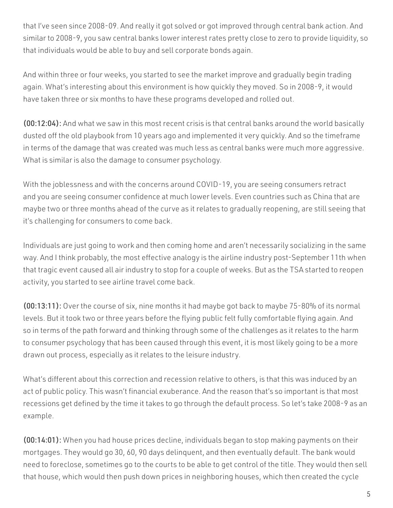that I've seen since 2008-09. And really it got solved or got improved through central bank action. And similar to 2008-9, you saw central banks lower interest rates pretty close to zero to provide liquidity, so that individuals would be able to buy and sell corporate bonds again.

And within three or four weeks, you started to see the market improve and gradually begin trading again. What's interesting about this environment is how quickly they moved. So in 2008-9, it would have taken three or six months to have these programs developed and rolled out.

(00:12:04): And what we saw in this most recent crisis is that central banks around the world basically dusted off the old playbook from 10 years ago and implemented it very quickly. And so the timeframe in terms of the damage that was created was much less as central banks were much more aggressive. What is similar is also the damage to consumer psychology.

With the joblessness and with the concerns around COVID-19, you are seeing consumers retract and you are seeing consumer confidence at much lower levels. Even countries such as China that are maybe two or three months ahead of the curve as it relates to gradually reopening, are still seeing that it's challenging for consumers to come back.

Individuals are just going to work and then coming home and aren't necessarily socializing in the same way. And I think probably, the most effective analogy is the airline industry post-September 11th when that tragic event caused all air industry to stop for a couple of weeks. But as the TSA started to reopen activity, you started to see airline travel come back.

(00:13:11): Over the course of six, nine months it had maybe got back to maybe 75-80% of its normal levels. But it took two or three years before the flying public felt fully comfortable flying again. And so in terms of the path forward and thinking through some of the challenges as it relates to the harm to consumer psychology that has been caused through this event, it is most likely going to be a more drawn out process, especially as it relates to the leisure industry.

What's different about this correction and recession relative to others, is that this was induced by an act of public policy. This wasn't financial exuberance. And the reason that's so important is that most recessions get defined by the time it takes to go through the default process. So let's take 2008-9 as an example.

(00:14:01): When you had house prices decline, individuals began to stop making payments on their mortgages. They would go 30, 60, 90 days delinquent, and then eventually default. The bank would need to foreclose, sometimes go to the courts to be able to get control of the title. They would then sell that house, which would then push down prices in neighboring houses, which then created the cycle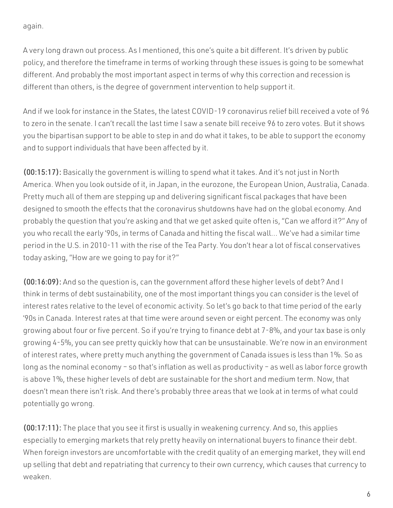again.

A very long drawn out process. As I mentioned, this one's quite a bit different. It's driven by public policy, and therefore the timeframe in terms of working through these issues is going to be somewhat different. And probably the most important aspect in terms of why this correction and recession is different than others, is the degree of government intervention to help support it.

And if we look for instance in the States, the latest COVID-19 coronavirus relief bill received a vote of 96 to zero in the senate. I can't recall the last time I saw a senate bill receive 96 to zero votes. But it shows you the bipartisan support to be able to step in and do what it takes, to be able to support the economy and to support individuals that have been affected by it.

(00:15:17): Basically the government is willing to spend what it takes. And it's not just in North America. When you look outside of it, in Japan, in the eurozone, the European Union, Australia, Canada. Pretty much all of them are stepping up and delivering significant fiscal packages that have been designed to smooth the effects that the coronavirus shutdowns have had on the global economy. And probably the question that you're asking and that we get asked quite often is, "Can we afford it?" Any of you who recall the early '90s, in terms of Canada and hitting the fiscal wall… We've had a similar time period in the U.S. in 2010-11 with the rise of the Tea Party. You don't hear a lot of fiscal conservatives today asking, "How are we going to pay for it?"

(00:16:09): And so the question is, can the government afford these higher levels of debt? And I think in terms of debt sustainability, one of the most important things you can consider is the level of interest rates relative to the level of economic activity. So let's go back to that time period of the early '90s in Canada. Interest rates at that time were around seven or eight percent. The economy was only growing about four or five percent. So if you're trying to finance debt at 7-8%, and your tax base is only growing 4-5%, you can see pretty quickly how that can be unsustainable. We're now in an environment of interest rates, where pretty much anything the government of Canada issues is less than 1%. So as long as the nominal economy – so that's inflation as well as productivity – as well as labor force growth is above 1%, these higher levels of debt are sustainable for the short and medium term. Now, that doesn't mean there isn't risk. And there's probably three areas that we look at in terms of what could potentially go wrong.

(00:17:11): The place that you see it first is usually in weakening currency. And so, this applies especially to emerging markets that rely pretty heavily on international buyers to finance their debt. When foreign investors are uncomfortable with the credit quality of an emerging market, they will end up selling that debt and repatriating that currency to their own currency, which causes that currency to weaken.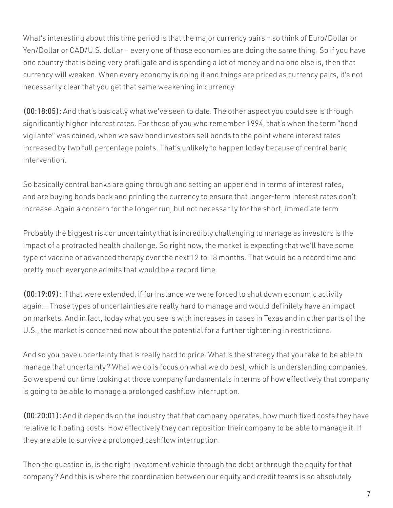What's interesting about this time period is that the major currency pairs – so think of Euro/Dollar or Yen/Dollar or CAD/U.S. dollar – every one of those economies are doing the same thing. So if you have one country that is being very profligate and is spending a lot of money and no one else is, then that currency will weaken. When every economy is doing it and things are priced as currency pairs, it's not necessarily clear that you get that same weakening in currency.

(00:18:05): And that's basically what we've seen to date. The other aspect you could see is through significantly higher interest rates. For those of you who remember 1994, that's when the term "bond vigilante" was coined, when we saw bond investors sell bonds to the point where interest rates increased by two full percentage points. That's unlikely to happen today because of central bank intervention.

So basically central banks are going through and setting an upper end in terms of interest rates, and are buying bonds back and printing the currency to ensure that longer-term interest rates don't increase. Again a concern for the longer run, but not necessarily for the short, immediate term

Probably the biggest risk or uncertainty that is incredibly challenging to manage as investors is the impact of a protracted health challenge. So right now, the market is expecting that we'll have some type of vaccine or advanced therapy over the next 12 to 18 months. That would be a record time and pretty much everyone admits that would be a record time.

(00:19:09): If that were extended, if for instance we were forced to shut down economic activity again… Those types of uncertainties are really hard to manage and would definitely have an impact on markets. And in fact, today what you see is with increases in cases in Texas and in other parts of the U.S., the market is concerned now about the potential for a further tightening in restrictions.

And so you have uncertainty that is really hard to price. What is the strategy that you take to be able to manage that uncertainty? What we do is focus on what we do best, which is understanding companies. So we spend our time looking at those company fundamentals in terms of how effectively that company is going to be able to manage a prolonged cashflow interruption.

(00:20:01): And it depends on the industry that that company operates, how much fixed costs they have relative to floating costs. How effectively they can reposition their company to be able to manage it. If they are able to survive a prolonged cashflow interruption.

Then the question is, is the right investment vehicle through the debt or through the equity for that company? And this is where the coordination between our equity and credit teams is so absolutely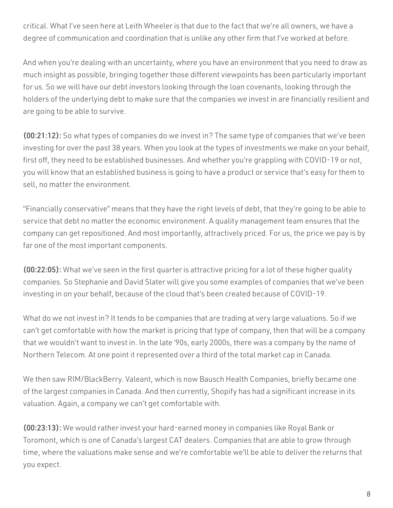critical. What I've seen here at Leith Wheeler is that due to the fact that we're all owners, we have a degree of communication and coordination that is unlike any other firm that I've worked at before.

And when you're dealing with an uncertainty, where you have an environment that you need to draw as much insight as possible, bringing together those different viewpoints has been particularly important for us. So we will have our debt investors looking through the loan covenants, looking through the holders of the underlying debt to make sure that the companies we invest in are financially resilient and are going to be able to survive.

(00:21:12): So what types of companies do we invest in? The same type of companies that we've been investing for over the past 38 years. When you look at the types of investments we make on your behalf, first off, they need to be established businesses. And whether you're grappling with COVID-19 or not, you will know that an established business is going to have a product or service that's easy for them to sell, no matter the environment.

"Financially conservative" means that they have the right levels of debt, that they're going to be able to service that debt no matter the economic environment. A quality management team ensures that the company can get repositioned. And most importantly, attractively priced. For us, the price we pay is by far one of the most important components.

(00:22:05): What we've seen in the first quarter is attractive pricing for a lot of these higher quality companies. So Stephanie and David Slater will give you some examples of companies that we've been investing in on your behalf, because of the cloud that's been created because of COVID-19.

What do we not invest in? It tends to be companies that are trading at very large valuations. So if we can't get comfortable with how the market is pricing that type of company, then that will be a company that we wouldn't want to invest in. In the late '90s, early 2000s, there was a company by the name of Northern Telecom. At one point it represented over a third of the total market cap in Canada.

We then saw RIM/BlackBerry. Valeant, which is now Bausch Health Companies, briefly became one of the largest companies in Canada. And then currently, Shopify has had a significant increase in its valuation. Again, a company we can't get comfortable with.

(00:23:13): We would rather invest your hard-earned money in companies like Royal Bank or Toromont, which is one of Canada's largest CAT dealers. Companies that are able to grow through time, where the valuations make sense and we're comfortable we'll be able to deliver the returns that you expect.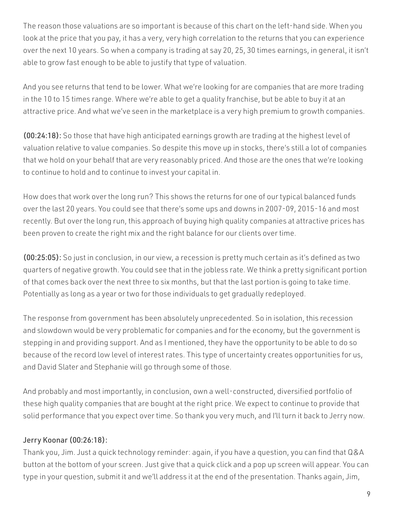The reason those valuations are so important is because of this chart on the left-hand side. When you look at the price that you pay, it has a very, very high correlation to the returns that you can experience over the next 10 years. So when a company is trading at say 20, 25, 30 times earnings, in general, it isn't able to grow fast enough to be able to justify that type of valuation.

And you see returns that tend to be lower. What we're looking for are companies that are more trading in the 10 to 15 times range. Where we're able to get a quality franchise, but be able to buy it at an attractive price. And what we've seen in the marketplace is a very high premium to growth companies.

(00:24:18): So those that have high anticipated earnings growth are trading at the highest level of valuation relative to value companies. So despite this move up in stocks, there's still a lot of companies that we hold on your behalf that are very reasonably priced. And those are the ones that we're looking to continue to hold and to continue to invest your capital in.

How does that work over the long run? This shows the returns for one of our typical balanced funds over the last 20 years. You could see that there's some ups and downs in 2007-09, 2015-16 and most recently. But over the long run, this approach of buying high quality companies at attractive prices has been proven to create the right mix and the right balance for our clients over time.

(00:25:05): So just in conclusion, in our view, a recession is pretty much certain as it's defined as two quarters of negative growth. You could see that in the jobless rate. We think a pretty significant portion of that comes back over the next three to six months, but that the last portion is going to take time. Potentially as long as a year or two for those individuals to get gradually redeployed.

The response from government has been absolutely unprecedented. So in isolation, this recession and slowdown would be very problematic for companies and for the economy, but the government is stepping in and providing support. And as I mentioned, they have the opportunity to be able to do so because of the record low level of interest rates. This type of uncertainty creates opportunities for us, and David Slater and Stephanie will go through some of those.

And probably and most importantly, in conclusion, own a well-constructed, diversified portfolio of these high quality companies that are bought at the right price. We expect to continue to provide that solid performance that you expect over time. So thank you very much, and I'll turn it back to Jerry now.

#### Jerry Koonar (00:26:18):

Thank you, Jim. Just a quick technology reminder: again, if you have a question, you can find that Q&A button at the bottom of your screen. Just give that a quick click and a pop up screen will appear. You can type in your question, submit it and we'll address it at the end of the presentation. Thanks again, Jim,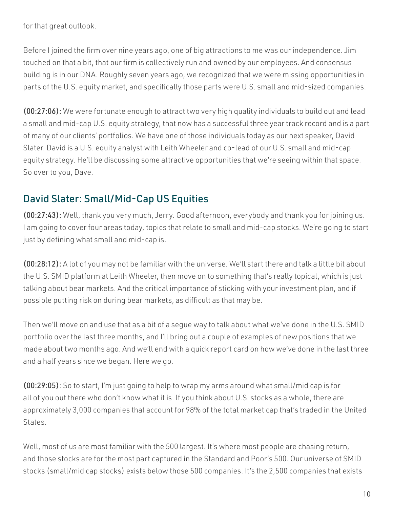for that great outlook.

Before I joined the firm over nine years ago, one of big attractions to me was our independence. Jim touched on that a bit, that our firm is collectively run and owned by our employees. And consensus building is in our DNA. Roughly seven years ago, we recognized that we were missing opportunities in parts of the U.S. equity market, and specifically those parts were U.S. small and mid-sized companies.

(00:27:06): We were fortunate enough to attract two very high quality individuals to build out and lead a small and mid-cap U.S. equity strategy, that now has a successful three year track record and is a part of many of our clients' portfolios. We have one of those individuals today as our next speaker, David Slater. David is a U.S. equity analyst with Leith Wheeler and co-lead of our U.S. small and mid-cap equity strategy. He'll be discussing some attractive opportunities that we're seeing within that space. So over to you, Dave.

# David Slater: Small/Mid-Cap US Equities

(00:27:43): Well, thank you very much, Jerry. Good afternoon, everybody and thank you for joining us. I am going to cover four areas today, topics that relate to small and mid-cap stocks. We're going to start just by defining what small and mid-cap is.

(00:28:12): A lot of you may not be familiar with the universe. We'll start there and talk a little bit about the U.S. SMID platform at Leith Wheeler, then move on to something that's really topical, which is just talking about bear markets. And the critical importance of sticking with your investment plan, and if possible putting risk on during bear markets, as difficult as that may be.

Then we'll move on and use that as a bit of a segue way to talk about what we've done in the U.S. SMID portfolio over the last three months, and I'll bring out a couple of examples of new positions that we made about two months ago. And we'll end with a quick report card on how we've done in the last three and a half years since we began. Here we go.

(00:29:05): So to start, I'm just going to help to wrap my arms around what small/mid cap is for all of you out there who don't know what it is. If you think about U.S. stocks as a whole, there are approximately 3,000 companies that account for 98% of the total market cap that's traded in the United **States** 

Well, most of us are most familiar with the 500 largest. It's where most people are chasing return, and those stocks are for the most part captured in the Standard and Poor's 500. Our universe of SMID stocks (small/mid cap stocks) exists below those 500 companies. It's the 2,500 companies that exists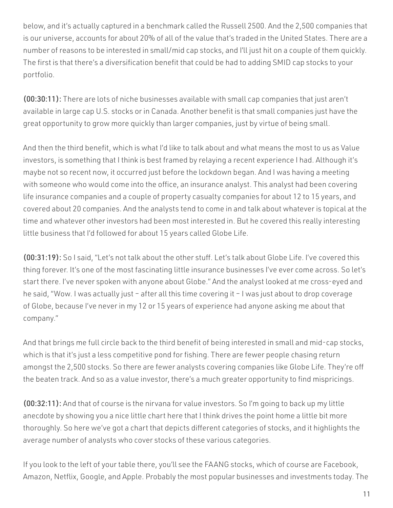below, and it's actually captured in a benchmark called the Russell 2500. And the 2,500 companies that is our universe, accounts for about 20% of all of the value that's traded in the United States. There are a number of reasons to be interested in small/mid cap stocks, and I'll just hit on a couple of them quickly. The first is that there's a diversification benefit that could be had to adding SMID cap stocks to your portfolio.

(00:30:11): There are lots of niche businesses available with small cap companies that just aren't available in large cap U.S. stocks or in Canada. Another benefit is that small companies just have the great opportunity to grow more quickly than larger companies, just by virtue of being small.

And then the third benefit, which is what I'd like to talk about and what means the most to us as Value investors, is something that I think is best framed by relaying a recent experience I had. Although it's maybe not so recent now, it occurred just before the lockdown began. And I was having a meeting with someone who would come into the office, an insurance analyst. This analyst had been covering life insurance companies and a couple of property casualty companies for about 12 to 15 years, and covered about 20 companies. And the analysts tend to come in and talk about whatever is topical at the time and whatever other investors had been most interested in. But he covered this really interesting little business that I'd followed for about 15 years called Globe Life.

(00:31:19): So I said, "Let's not talk about the other stuff. Let's talk about Globe Life. I've covered this thing forever. It's one of the most fascinating little insurance businesses I've ever come across. So let's start there. I've never spoken with anyone about Globe." And the analyst looked at me cross-eyed and he said, "Wow. I was actually just – after all this time covering it – I was just about to drop coverage of Globe, because I've never in my 12 or 15 years of experience had anyone asking me about that company."

And that brings me full circle back to the third benefit of being interested in small and mid-cap stocks, which is that it's just a less competitive pond for fishing. There are fewer people chasing return amongst the 2,500 stocks. So there are fewer analysts covering companies like Globe Life. They're off the beaten track. And so as a value investor, there's a much greater opportunity to find mispricings.

(00:32:11): And that of course is the nirvana for value investors. So I'm going to back up my little anecdote by showing you a nice little chart here that I think drives the point home a little bit more thoroughly. So here we've got a chart that depicts different categories of stocks, and it highlights the average number of analysts who cover stocks of these various categories.

If you look to the left of your table there, you'll see the FAANG stocks, which of course are Facebook, Amazon, Netflix, Google, and Apple. Probably the most popular businesses and investments today. The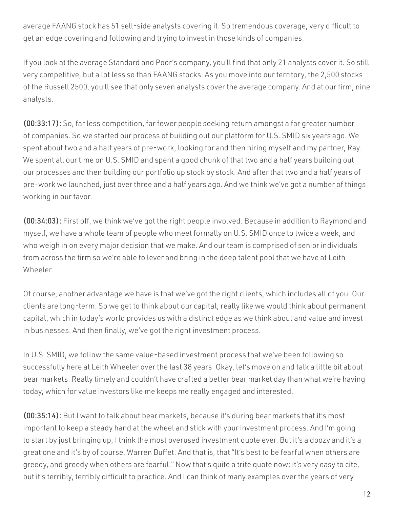average FAANG stock has 51 sell-side analysts covering it. So tremendous coverage, very difficult to get an edge covering and following and trying to invest in those kinds of companies.

If you look at the average Standard and Poor's company, you'll find that only 21 analysts cover it. So still very competitive, but a lot less so than FAANG stocks. As you move into our territory, the 2,500 stocks of the Russell 2500, you'll see that only seven analysts cover the average company. And at our firm, nine analysts.

(00:33:17): So, far less competition, far fewer people seeking return amongst a far greater number of companies. So we started our process of building out our platform for U.S. SMID six years ago. We spent about two and a half years of pre-work, looking for and then hiring myself and my partner, Ray. We spent all our time on U.S. SMID and spent a good chunk of that two and a half years building out our processes and then building our portfolio up stock by stock. And after that two and a half years of pre-work we launched, just over three and a half years ago. And we think we've got a number of things working in our favor.

(00:34:03): First off, we think we've got the right people involved. Because in addition to Raymond and myself, we have a whole team of people who meet formally on U.S. SMID once to twice a week, and who weigh in on every major decision that we make. And our team is comprised of senior individuals from across the firm so we're able to lever and bring in the deep talent pool that we have at Leith Wheeler.

Of course, another advantage we have is that we've got the right clients, which includes all of you. Our clients are long-term. So we get to think about our capital, really like we would think about permanent capital, which in today's world provides us with a distinct edge as we think about and value and invest in businesses. And then finally, we've got the right investment process.

In U.S. SMID, we follow the same value-based investment process that we've been following so successfully here at Leith Wheeler over the last 38 years. Okay, let's move on and talk a little bit about bear markets. Really timely and couldn't have crafted a better bear market day than what we're having today, which for value investors like me keeps me really engaged and interested.

(00:35:14): But I want to talk about bear markets, because it's during bear markets that it's most important to keep a steady hand at the wheel and stick with your investment process. And I'm going to start by just bringing up, I think the most overused investment quote ever. But it's a doozy and it's a great one and it's by of course, Warren Buffet. And that is, that "It's best to be fearful when others are greedy, and greedy when others are fearful." Now that's quite a trite quote now; it's very easy to cite, but it's terribly, terribly difficult to practice. And I can think of many examples over the years of very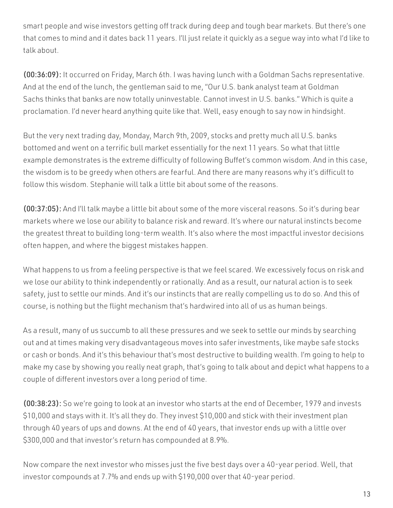smart people and wise investors getting off track during deep and tough bear markets. But there's one that comes to mind and it dates back 11 years. I'll just relate it quickly as a segue way into what I'd like to talk about.

(00:36:09): It occurred on Friday, March 6th. I was having lunch with a Goldman Sachs representative. And at the end of the lunch, the gentleman said to me, "Our U.S. bank analyst team at Goldman Sachs thinks that banks are now totally uninvestable. Cannot invest in U.S. banks." Which is quite a proclamation. I'd never heard anything quite like that. Well, easy enough to say now in hindsight.

But the very next trading day, Monday, March 9th, 2009, stocks and pretty much all U.S. banks bottomed and went on a terrific bull market essentially for the next 11 years. So what that little example demonstrates is the extreme difficulty of following Buffet's common wisdom. And in this case, the wisdom is to be greedy when others are fearful. And there are many reasons why it's difficult to follow this wisdom. Stephanie will talk a little bit about some of the reasons.

(00:37:05): And I'll talk maybe a little bit about some of the more visceral reasons. So it's during bear markets where we lose our ability to balance risk and reward. It's where our natural instincts become the greatest threat to building long-term wealth. It's also where the most impactful investor decisions often happen, and where the biggest mistakes happen.

What happens to us from a feeling perspective is that we feel scared. We excessively focus on risk and we lose our ability to think independently or rationally. And as a result, our natural action is to seek safety, just to settle our minds. And it's our instincts that are really compelling us to do so. And this of course, is nothing but the flight mechanism that's hardwired into all of us as human beings.

As a result, many of us succumb to all these pressures and we seek to settle our minds by searching out and at times making very disadvantageous moves into safer investments, like maybe safe stocks or cash or bonds. And it's this behaviour that's most destructive to building wealth. I'm going to help to make my case by showing you really neat graph, that's going to talk about and depict what happens to a couple of different investors over a long period of time.

(00:38:23): So we're going to look at an investor who starts at the end of December, 1979 and invests \$10,000 and stays with it. It's all they do. They invest \$10,000 and stick with their investment plan through 40 years of ups and downs. At the end of 40 years, that investor ends up with a little over \$300,000 and that investor's return has compounded at 8.9%.

Now compare the next investor who misses just the five best days over a 40-year period. Well, that investor compounds at 7.7% and ends up with \$190,000 over that 40-year period.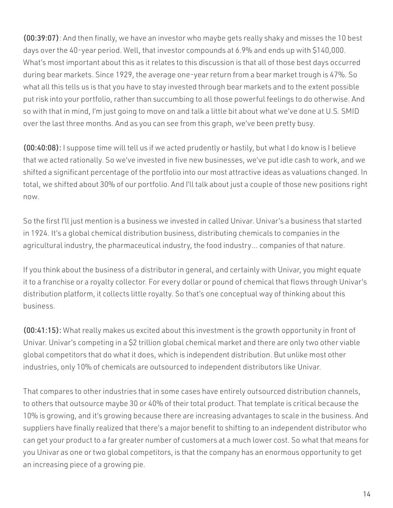(00:39:07): And then finally, we have an investor who maybe gets really shaky and misses the 10 best days over the 40-year period. Well, that investor compounds at 6.9% and ends up with \$140,000. What's most important about this as it relates to this discussion is that all of those best days occurred during bear markets. Since 1929, the average one-year return from a bear market trough is 47%. So what all this tells us is that you have to stay invested through bear markets and to the extent possible put risk into your portfolio, rather than succumbing to all those powerful feelings to do otherwise. And so with that in mind, I'm just going to move on and talk a little bit about what we've done at U.S. SMID over the last three months. And as you can see from this graph, we've been pretty busy.

(00:40:08): I suppose time will tell us if we acted prudently or hastily, but what I do know is I believe that we acted rationally. So we've invested in five new businesses, we've put idle cash to work, and we shifted a significant percentage of the portfolio into our most attractive ideas as valuations changed. In total, we shifted about 30% of our portfolio. And I'll talk about just a couple of those new positions right now.

So the first I'll just mention is a business we invested in called Univar. Univar's a business that started in 1924. It's a global chemical distribution business, distributing chemicals to companies in the agricultural industry, the pharmaceutical industry, the food industry… companies of that nature.

If you think about the business of a distributor in general, and certainly with Univar, you might equate it to a franchise or a royalty collector. For every dollar or pound of chemical that flows through Univar's distribution platform, it collects little royalty. So that's one conceptual way of thinking about this business.

(00:41:15): What really makes us excited about this investment is the growth opportunity in front of Univar. Univar's competing in a \$2 trillion global chemical market and there are only two other viable global competitors that do what it does, which is independent distribution. But unlike most other industries, only 10% of chemicals are outsourced to independent distributors like Univar.

That compares to other industries that in some cases have entirely outsourced distribution channels, to others that outsource maybe 30 or 40% of their total product. That template is critical because the 10% is growing, and it's growing because there are increasing advantages to scale in the business. And suppliers have finally realized that there's a major benefit to shifting to an independent distributor who can get your product to a far greater number of customers at a much lower cost. So what that means for you Univar as one or two global competitors, is that the company has an enormous opportunity to get an increasing piece of a growing pie.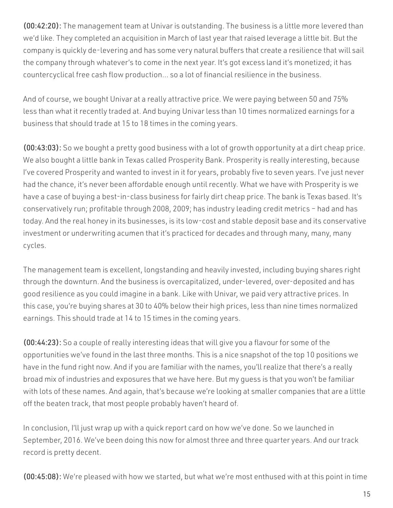(00:42:20): The management team at Univar is outstanding. The business is a little more levered than we'd like. They completed an acquisition in March of last year that raised leverage a little bit. But the company is quickly de-levering and has some very natural buffers that create a resilience that will sail the company through whatever's to come in the next year. It's got excess land it's monetized; it has countercyclical free cash flow production… so a lot of financial resilience in the business.

And of course, we bought Univar at a really attractive price. We were paying between 50 and 75% less than what it recently traded at. And buying Univar less than 10 times normalized earnings for a business that should trade at 15 to 18 times in the coming years.

(00:43:03): So we bought a pretty good business with a lot of growth opportunity at a dirt cheap price. We also bought a little bank in Texas called Prosperity Bank. Prosperity is really interesting, because I've covered Prosperity and wanted to invest in it for years, probably five to seven years. I've just never had the chance, it's never been affordable enough until recently. What we have with Prosperity is we have a case of buying a best-in-class business for fairly dirt cheap price. The bank is Texas based. It's conservatively run; profitable through 2008, 2009; has industry leading credit metrics – had and has today. And the real honey in its businesses, is its low-cost and stable deposit base and its conservative investment or underwriting acumen that it's practiced for decades and through many, many, many cycles.

The management team is excellent, longstanding and heavily invested, including buying shares right through the downturn. And the business is overcapitalized, under-levered, over-deposited and has good resilience as you could imagine in a bank. Like with Univar, we paid very attractive prices. In this case, you're buying shares at 30 to 40% below their high prices, less than nine times normalized earnings. This should trade at 14 to 15 times in the coming years.

(00:44:23): So a couple of really interesting ideas that will give you a flavour for some of the opportunities we've found in the last three months. This is a nice snapshot of the top 10 positions we have in the fund right now. And if you are familiar with the names, you'll realize that there's a really broad mix of industries and exposures that we have here. But my guess is that you won't be familiar with lots of these names. And again, that's because we're looking at smaller companies that are a little off the beaten track, that most people probably haven't heard of.

In conclusion, I'll just wrap up with a quick report card on how we've done. So we launched in September, 2016. We've been doing this now for almost three and three quarter years. And our track record is pretty decent.

(00:45:08): We're pleased with how we started, but what we're most enthused with at this point in time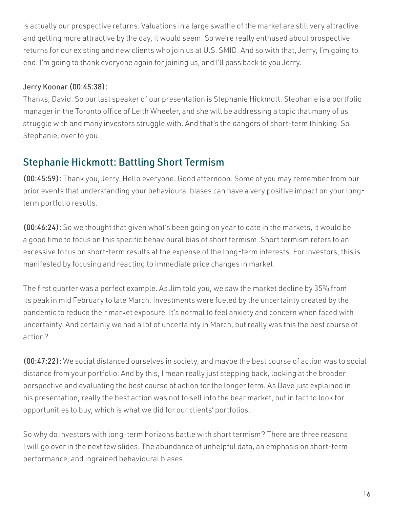is actually our prospective returns. Valuations in a large swathe of the market are still very attractive and getting more attractive by the day, it would seem. So we're really enthused about prospective returns for our existing and new clients who join us at U.S. SMID. And so with that, Jerry, I'm going to end. I'm going to thank everyone again for joining us, and I'll pass back to you Jerry.

#### Jerry Koonar (00:45:38):

Thanks, David. So our last speaker of our presentation is Stephanie Hickmott. Stephanie is a portfolio manager in the Toronto office of Leith Wheeler, and she will be addressing a topic that many of us struggle with and many investors struggle with. And that's the dangers of short-term thinking. So Stephanie, over to you.

## Stephanie Hickmott: Battling Short Termism

(00:45:59): Thank you, Jerry. Hello everyone. Good afternoon. Some of you may remember from our prior events that understanding your behavioural biases can have a very positive impact on your longterm portfolio results.

(00:46:24): So we thought that given what's been going on year to date in the markets, it would be a good time to focus on this specific behavioural bias of short termism. Short termism refers to an excessive focus on short-term results at the expense of the long-term interests. For investors, this is manifested by focusing and reacting to immediate price changes in market.

The first quarter was a perfect example. As Jim told you, we saw the market decline by 35% from its peak in mid February to late March. Investments were fueled by the uncertainty created by the pandemic to reduce their market exposure. It's normal to feel anxiety and concern when faced with uncertainty. And certainly we had a lot of uncertainty in March, but really was this the best course of action?

(00:47:22): We social distanced ourselves in society, and maybe the best course of action was to social distance from your portfolio. And by this, I mean really just stepping back, looking at the broader perspective and evaluating the best course of action for the longer term. As Dave just explained in his presentation, really the best action was not to sell into the bear market, but in fact to look for opportunities to buy, which is what we did for our clients' portfolios.

So why do investors with long-term horizons battle with short termism? There are three reasons I will go over in the next few slides. The abundance of unhelpful data, an emphasis on short-term performance, and ingrained behavioural biases.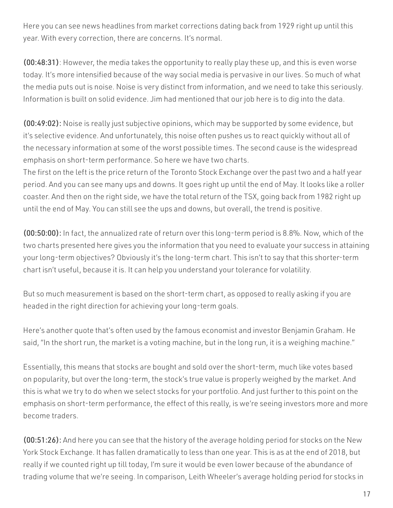Here you can see news headlines from market corrections dating back from 1929 right up until this year. With every correction, there are concerns. It's normal.

(00:48:31): However, the media takes the opportunity to really play these up, and this is even worse today. It's more intensified because of the way social media is pervasive in our lives. So much of what the media puts out is noise. Noise is very distinct from information, and we need to take this seriously. Information is built on solid evidence. Jim had mentioned that our job here is to dig into the data.

(00:49:02): Noise is really just subjective opinions, which may be supported by some evidence, but it's selective evidence. And unfortunately, this noise often pushes us to react quickly without all of the necessary information at some of the worst possible times. The second cause is the widespread emphasis on short-term performance. So here we have two charts.

The first on the left is the price return of the Toronto Stock Exchange over the past two and a half year period. And you can see many ups and downs. It goes right up until the end of May. It looks like a roller coaster. And then on the right side, we have the total return of the TSX, going back from 1982 right up until the end of May. You can still see the ups and downs, but overall, the trend is positive.

(00:50:00): In fact, the annualized rate of return over this long-term period is 8.8%. Now, which of the two charts presented here gives you the information that you need to evaluate your success in attaining your long-term objectives? Obviously it's the long-term chart. This isn't to say that this shorter-term chart isn't useful, because it is. It can help you understand your tolerance for volatility.

But so much measurement is based on the short-term chart, as opposed to really asking if you are headed in the right direction for achieving your long-term goals.

Here's another quote that's often used by the famous economist and investor Benjamin Graham. He said, "In the short run, the market is a voting machine, but in the long run, it is a weighing machine."

Essentially, this means that stocks are bought and sold over the short-term, much like votes based on popularity, but over the long-term, the stock's true value is properly weighed by the market. And this is what we try to do when we select stocks for your portfolio. And just further to this point on the emphasis on short-term performance, the effect of this really, is we're seeing investors more and more become traders.

(00:51:26): And here you can see that the history of the average holding period for stocks on the New York Stock Exchange. It has fallen dramatically to less than one year. This is as at the end of 2018, but really if we counted right up till today, I'm sure it would be even lower because of the abundance of trading volume that we're seeing. In comparison, Leith Wheeler's average holding period for stocks in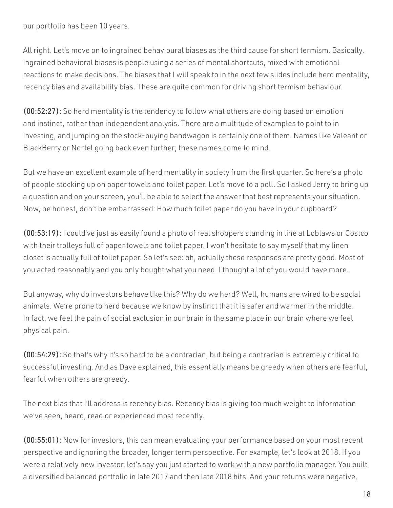our portfolio has been 10 years.

All right. Let's move on to ingrained behavioural biases as the third cause for short termism. Basically, ingrained behavioral biases is people using a series of mental shortcuts, mixed with emotional reactions to make decisions. The biases that I will speak to in the next few slides include herd mentality, recency bias and availability bias. These are quite common for driving short termism behaviour.

(00:52:27): So herd mentality is the tendency to follow what others are doing based on emotion and instinct, rather than independent analysis. There are a multitude of examples to point to in investing, and jumping on the stock-buying bandwagon is certainly one of them. Names like Valeant or BlackBerry or Nortel going back even further; these names come to mind.

But we have an excellent example of herd mentality in society from the first quarter. So here's a photo of people stocking up on paper towels and toilet paper. Let's move to a poll. So I asked Jerry to bring up a question and on your screen, you'll be able to select the answer that best represents your situation. Now, be honest, don't be embarrassed: How much toilet paper do you have in your cupboard?

(00:53:19): I could've just as easily found a photo of real shoppers standing in line at Loblaws or Costco with their trolleys full of paper towels and toilet paper. I won't hesitate to say myself that my linen closet is actually full of toilet paper. So let's see: oh, actually these responses are pretty good. Most of you acted reasonably and you only bought what you need. I thought a lot of you would have more.

But anyway, why do investors behave like this? Why do we herd? Well, humans are wired to be social animals. We're prone to herd because we know by instinct that it is safer and warmer in the middle. In fact, we feel the pain of social exclusion in our brain in the same place in our brain where we feel physical pain.

(00:54:29): So that's why it's so hard to be a contrarian, but being a contrarian is extremely critical to successful investing. And as Dave explained, this essentially means be greedy when others are fearful, fearful when others are greedy.

The next bias that I'll address is recency bias. Recency bias is giving too much weight to information we've seen, heard, read or experienced most recently.

(00:55:01): Now for investors, this can mean evaluating your performance based on your most recent perspective and ignoring the broader, longer term perspective. For example, let's look at 2018. If you were a relatively new investor, let's say you just started to work with a new portfolio manager. You built a diversified balanced portfolio in late 2017 and then late 2018 hits. And your returns were negative,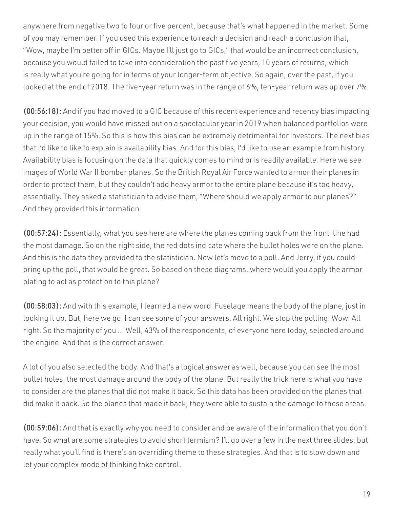anywhere from negative two to four or five percent, because that's what happened in the market. Some of you may remember. If you used this experience to reach a decision and reach a conclusion that, "Wow, maybe I'm better off in GICs. Maybe I'll just go to GICs," that would be an incorrect conclusion, because you would failed to take into consideration the past five years, 10 years of returns, which is really what you're going for in terms of your longer-term objective. So again, over the past, if you looked at the end of 2018. The five-year return was in the range of 6%, ten-year return was up over 7%.

(00:56:18): And if you had moved to a GIC because of this recent experience and recency bias impacting your decision, you would have missed out on a spectacular year in 2019 when balanced portfolios were up in the range of 15%. So this is how this bias can be extremely detrimental for investors. The next bias that I'd like to like to explain is availability bias. And for this bias, I'd like to use an example from history. Availability bias is focusing on the data that quickly comes to mind or is readily available. Here we see images of World War II bomber planes. So the British Royal Air Force wanted to armor their planes in order to protect them, but they couldn't add heavy armor to the entire plane because it's too heavy, essentially. They asked a statistician to advise them, "Where should we apply armor to our planes?" And they provided this information.

(00:57:24): Essentially, what you see here are where the planes coming back from the front-line had the most damage. So on the right side, the red dots indicate where the bullet holes were on the plane. And this is the data they provided to the statistician. Now let's move to a poll. And Jerry, if you could bring up the poll, that would be great. So based on these diagrams, where would you apply the armor plating to act as protection to this plane?

(00:58:03): And with this example, I learned a new word. Fuselage means the body of the plane, just in looking it up. But, here we go. I can see some of your answers. All right. We stop the polling. Wow. All right. So the majority of you ... Well, 43% of the respondents, of everyone here today, selected around the engine. And that is the correct answer.

A lot of you also selected the body. And that's a logical answer as well, because you can see the most bullet holes, the most damage around the body of the plane. But really the trick here is what you have to consider are the planes that did not make it back. So this data has been provided on the planes that did make it back. So the planes that made it back, they were able to sustain the damage to these areas.

(00:59:06): And that is exactly why you need to consider and be aware of the information that you don't have. So what are some strategies to avoid short termism? I'll go over a few in the next three slides, but really what you'll find is there's an overriding theme to these strategies. And that is to slow down and let your complex mode of thinking take control.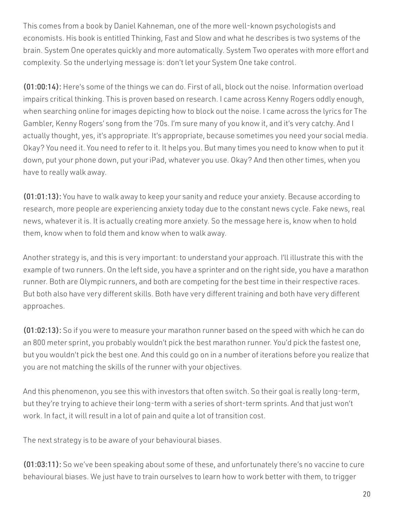This comes from a book by Daniel Kahneman, one of the more well-known psychologists and economists. His book is entitled Thinking, Fast and Slow and what he describes is two systems of the brain. System One operates quickly and more automatically. System Two operates with more effort and complexity. So the underlying message is: don't let your System One take control.

(01:00:14): Here's some of the things we can do. First of all, block out the noise. Information overload impairs critical thinking. This is proven based on research. I came across Kenny Rogers oddly enough, when searching online for images depicting how to block out the noise. I came across the lyrics for The Gambler, Kenny Rogers' song from the '70s. I'm sure many of you know it, and it's very catchy. And I actually thought, yes, it's appropriate. It's appropriate, because sometimes you need your social media. Okay? You need it. You need to refer to it. It helps you. But many times you need to know when to put it down, put your phone down, put your iPad, whatever you use. Okay? And then other times, when you have to really walk away.

(01:01:13): You have to walk away to keep your sanity and reduce your anxiety. Because according to research, more people are experiencing anxiety today due to the constant news cycle. Fake news, real news, whatever it is. It is actually creating more anxiety. So the message here is, know when to hold them, know when to fold them and know when to walk away.

Another strategy is, and this is very important: to understand your approach. I'll illustrate this with the example of two runners. On the left side, you have a sprinter and on the right side, you have a marathon runner. Both are Olympic runners, and both are competing for the best time in their respective races. But both also have very different skills. Both have very different training and both have very different approaches.

(01:02:13): So if you were to measure your marathon runner based on the speed with which he can do an 800 meter sprint, you probably wouldn't pick the best marathon runner. You'd pick the fastest one, but you wouldn't pick the best one. And this could go on in a number of iterations before you realize that you are not matching the skills of the runner with your objectives.

And this phenomenon, you see this with investors that often switch. So their goal is really long-term, but they're trying to achieve their long-term with a series of short-term sprints. And that just won't work. In fact, it will result in a lot of pain and quite a lot of transition cost.

The next strategy is to be aware of your behavioural biases.

(01:03:11): So we've been speaking about some of these, and unfortunately there's no vaccine to cure behavioural biases. We just have to train ourselves to learn how to work better with them, to trigger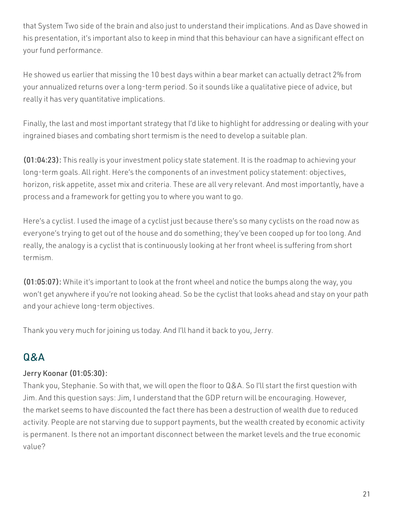that System Two side of the brain and also just to understand their implications. And as Dave showed in his presentation, it's important also to keep in mind that this behaviour can have a significant effect on your fund performance.

He showed us earlier that missing the 10 best days within a bear market can actually detract 2% from your annualized returns over a long-term period. So it sounds like a qualitative piece of advice, but really it has very quantitative implications.

Finally, the last and most important strategy that I'd like to highlight for addressing or dealing with your ingrained biases and combating short termism is the need to develop a suitable plan.

(01:04:23): This really is your investment policy state statement. It is the roadmap to achieving your long-term goals. All right. Here's the components of an investment policy statement: objectives, horizon, risk appetite, asset mix and criteria. These are all very relevant. And most importantly, have a process and a framework for getting you to where you want to go.

Here's a cyclist. I used the image of a cyclist just because there's so many cyclists on the road now as everyone's trying to get out of the house and do something; they've been cooped up for too long. And really, the analogy is a cyclist that is continuously looking at her front wheel is suffering from short termism.

(01:05:07): While it's important to look at the front wheel and notice the bumps along the way, you won't get anywhere if you're not looking ahead. So be the cyclist that looks ahead and stay on your path and your achieve long-term objectives.

Thank you very much for joining us today. And I'll hand it back to you, Jerry.

# Q&A

### Jerry Koonar (01:05:30):

Thank you, Stephanie. So with that, we will open the floor to Q&A. So I'll start the first question with Jim. And this question says: Jim, I understand that the GDP return will be encouraging. However, the market seems to have discounted the fact there has been a destruction of wealth due to reduced activity. People are not starving due to support payments, but the wealth created by economic activity is permanent. Is there not an important disconnect between the market levels and the true economic value?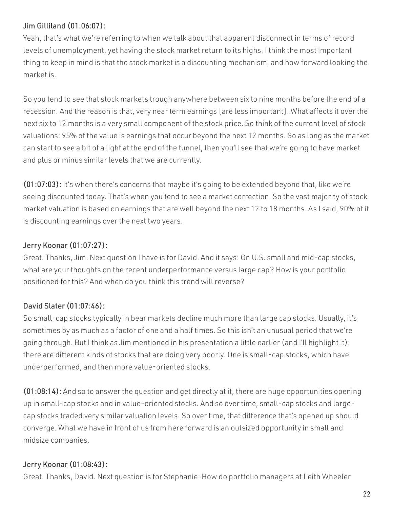#### Jim Gilliland (01:06:07):

Yeah, that's what we're referring to when we talk about that apparent disconnect in terms of record levels of unemployment, yet having the stock market return to its highs. I think the most important thing to keep in mind is that the stock market is a discounting mechanism, and how forward looking the market is.

So you tend to see that stock markets trough anywhere between six to nine months before the end of a recession. And the reason is that, very near term earnings [are less important]. What affects it over the next six to 12 months is a very small component of the stock price. So think of the current level of stock valuations: 95% of the value is earnings that occur beyond the next 12 months. So as long as the market can start to see a bit of a light at the end of the tunnel, then you'll see that we're going to have market and plus or minus similar levels that we are currently.

(01:07:03): It's when there's concerns that maybe it's going to be extended beyond that, like we're seeing discounted today. That's when you tend to see a market correction. So the vast majority of stock market valuation is based on earnings that are well beyond the next 12 to 18 months. As I said, 90% of it is discounting earnings over the next two years.

#### Jerry Koonar (01:07:27):

Great. Thanks, Jim. Next question I have is for David. And it says: On U.S. small and mid-cap stocks, what are your thoughts on the recent underperformance versus large cap? How is your portfolio positioned for this? And when do you think this trend will reverse?

#### David Slater (01:07:46):

So small-cap stocks typically in bear markets decline much more than large cap stocks. Usually, it's sometimes by as much as a factor of one and a half times. So this isn't an unusual period that we're going through. But I think as Jim mentioned in his presentation a little earlier (and I'll highlight it): there are different kinds of stocks that are doing very poorly. One is small-cap stocks, which have underperformed, and then more value-oriented stocks.

(01:08:14): And so to answer the question and get directly at it, there are huge opportunities opening up in small-cap stocks and in value-oriented stocks. And so over time, small-cap stocks and largecap stocks traded very similar valuation levels. So over time, that difference that's opened up should converge. What we have in front of us from here forward is an outsized opportunity in small and midsize companies.

#### Jerry Koonar (01:08:43):

Great. Thanks, David. Next question is for Stephanie: How do portfolio managers at Leith Wheeler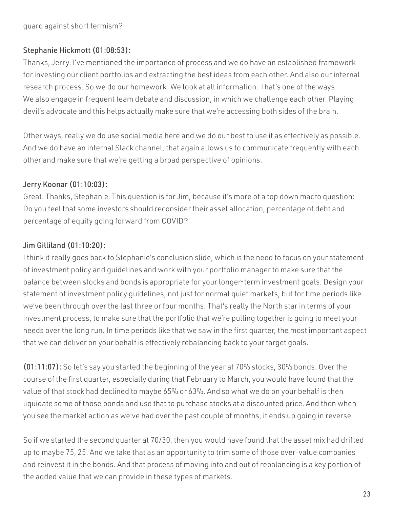#### Stephanie Hickmott (01:08:53):

Thanks, Jerry. I've mentioned the importance of process and we do have an established framework for investing our client portfolios and extracting the best ideas from each other. And also our internal research process. So we do our homework. We look at all information. That's one of the ways. We also engage in frequent team debate and discussion, in which we challenge each other. Playing devil's advocate and this helps actually make sure that we're accessing both sides of the brain.

Other ways, really we do use social media here and we do our best to use it as effectively as possible. And we do have an internal Slack channel, that again allows us to communicate frequently with each other and make sure that we're getting a broad perspective of opinions.

#### Jerry Koonar (01:10:03):

Great. Thanks, Stephanie. This question is for Jim, because it's more of a top down macro question: Do you feel that some investors should reconsider their asset allocation, percentage of debt and percentage of equity going forward from COVID?

#### Jim Gilliland (01:10:20):

I think it really goes back to Stephanie's conclusion slide, which is the need to focus on your statement of investment policy and guidelines and work with your portfolio manager to make sure that the balance between stocks and bonds is appropriate for your longer-term investment goals. Design your statement of investment policy guidelines, not just for normal quiet markets, but for time periods like we've been through over the last three or four months. That's really the North star in terms of your investment process, to make sure that the portfolio that we're pulling together is going to meet your needs over the long run. In time periods like that we saw in the first quarter, the most important aspect that we can deliver on your behalf is effectively rebalancing back to your target goals.

(01:11:07): So let's say you started the beginning of the year at 70% stocks, 30% bonds. Over the course of the first quarter, especially during that February to March, you would have found that the value of that stock had declined to maybe 65% or 63%. And so what we do on your behalf is then liquidate some of those bonds and use that to purchase stocks at a discounted price. And then when you see the market action as we've had over the past couple of months, it ends up going in reverse.

So if we started the second quarter at 70/30, then you would have found that the asset mix had drifted up to maybe 75, 25. And we take that as an opportunity to trim some of those over-value companies and reinvest it in the bonds. And that process of moving into and out of rebalancing is a key portion of the added value that we can provide in these types of markets.